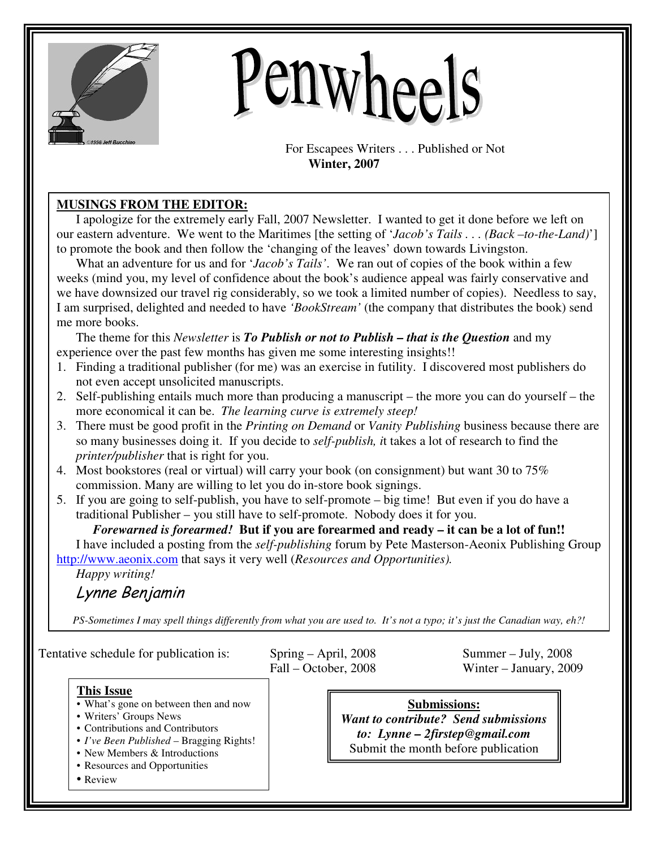

# Penwheels

For Escapees Writers . . . Published or Not  **Winter, 2007** 

# **MUSINGS FROM THE EDITOR:**

I apologize for the extremely early Fall, 2007 Newsletter. I wanted to get it done before we left on our eastern adventure. We went to the Maritimes [the setting of '*Jacob's Tails . . . (Back –to-the-Land)*'] to promote the book and then follow the 'changing of the leaves' down towards Livingston.

What an adventure for us and for '*Jacob's Tails'*. We ran out of copies of the book within a few weeks (mind you, my level of confidence about the book's audience appeal was fairly conservative and we have downsized our travel rig considerably, so we took a limited number of copies). Needless to say, I am surprised, delighted and needed to have *'BookStream'* (the company that distributes the book) send me more books.

The theme for this *Newsletter* is *To Publish or not to Publish – that is the Question* and my experience over the past few months has given me some interesting insights!!

- 1. Finding a traditional publisher (for me) was an exercise in futility. I discovered most publishers do not even accept unsolicited manuscripts.
- 2. Self-publishing entails much more than producing a manuscript the more you can do yourself the more economical it can be. *The learning curve is extremely steep!*
- 3. There must be good profit in the *Printing on Demand* or *Vanity Publishing* business because there are so many businesses doing it. If you decide to *self-publish, i*t takes a lot of research to find the *printer/publisher* that is right for you.
- 4. Most bookstores (real or virtual) will carry your book (on consignment) but want 30 to 75% commission. Many are willing to let you do in-store book signings.
- 5. If you are going to self-publish, you have to self-promote big time! But even if you do have a traditional Publisher – you still have to self-promote. Nobody does it for you.

*Forewarned is forearmed!* **But if you are forearmed and ready – it can be a lot of fun!!** I have included a posting from the *self-publishing* forum by Pete Masterson-Aeonix Publishing Group http://www.aeonix.com that says it very well (*Resources and Opportunities).* 

*Happy writing!*  Lynne Benjamin

*PS-Sometimes I may spell things differently from what you are used to. It's not a typo; it's just the Canadian way, eh?!* 

Tentative schedule for publication is: Spring – April, 2008 Summer – July, 2008

Fall – October, 2008 Winter – January, 2009

## **This Issue**

- What's gone on between then and now
- Writers' Groups News
- Contributions and Contributors
- *I've Been Published* Bragging Rights!
- New Members & Introductions
- Resources and Opportunities
- Review

**Submissions:** *Want to contribute? Send submissions to: Lynne – 2firstep@gmail.com* Submit the month before publication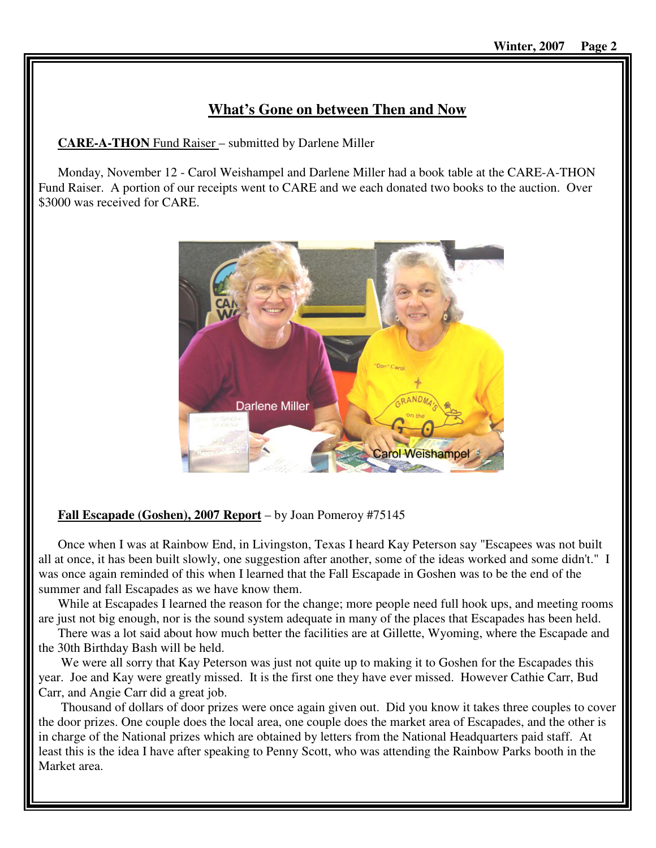# **What's Gone on between Then and Now**

**CARE-A-THON** Fund Raiser – submitted by Darlene Miller

Monday, November 12 - Carol Weishampel and Darlene Miller had a book table at the CARE-A-THON Fund Raiser. A portion of our receipts went to CARE and we each donated two books to the auction. Over \$3000 was received for CARE.



# **Fall Escapade (Goshen), 2007 Report** – by Joan Pomeroy #75145

Once when I was at Rainbow End, in Livingston, Texas I heard Kay Peterson say "Escapees was not built all at once, it has been built slowly, one suggestion after another, some of the ideas worked and some didn't." I was once again reminded of this when I learned that the Fall Escapade in Goshen was to be the end of the summer and fall Escapades as we have know them.

While at Escapades I learned the reason for the change; more people need full hook ups, and meeting rooms are just not big enough, nor is the sound system adequate in many of the places that Escapades has been held.

There was a lot said about how much better the facilities are at Gillette, Wyoming, where the Escapade and the 30th Birthday Bash will be held.

We were all sorry that Kay Peterson was just not quite up to making it to Goshen for the Escapades this year. Joe and Kay were greatly missed. It is the first one they have ever missed. However Cathie Carr, Bud Carr, and Angie Carr did a great job.

 Thousand of dollars of door prizes were once again given out. Did you know it takes three couples to cover the door prizes. One couple does the local area, one couple does the market area of Escapades, and the other is in charge of the National prizes which are obtained by letters from the National Headquarters paid staff. At least this is the idea I have after speaking to Penny Scott, who was attending the Rainbow Parks booth in the Market area.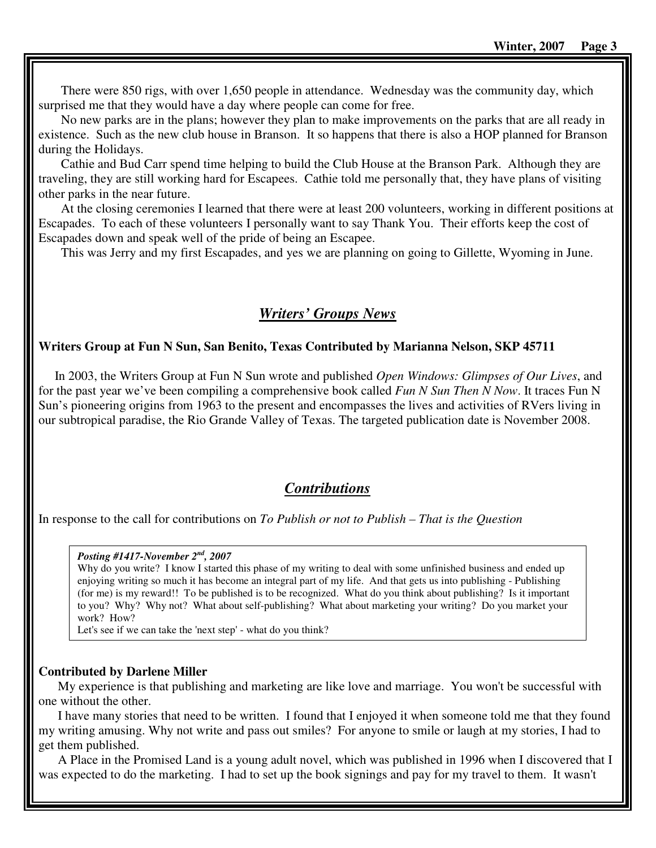There were 850 rigs, with over 1,650 people in attendance. Wednesday was the community day, which surprised me that they would have a day where people can come for free.

 No new parks are in the plans; however they plan to make improvements on the parks that are all ready in existence. Such as the new club house in Branson. It so happens that there is also a HOP planned for Branson during the Holidays.

 Cathie and Bud Carr spend time helping to build the Club House at the Branson Park. Although they are traveling, they are still working hard for Escapees. Cathie told me personally that, they have plans of visiting other parks in the near future.

 At the closing ceremonies I learned that there were at least 200 volunteers, working in different positions at Escapades. To each of these volunteers I personally want to say Thank You. Their efforts keep the cost of Escapades down and speak well of the pride of being an Escapee.

This was Jerry and my first Escapades, and yes we are planning on going to Gillette, Wyoming in June.

# *Writers' Groups News*

## **Writers Group at Fun N Sun, San Benito, Texas Contributed by Marianna Nelson, SKP 45711**

 In 2003, the Writers Group at Fun N Sun wrote and published *Open Windows: Glimpses of Our Lives*, and for the past year we've been compiling a comprehensive book called *Fun N Sun Then N Now*. It traces Fun N Sun's pioneering origins from 1963 to the present and encompasses the lives and activities of RVers living in our subtropical paradise, the Rio Grande Valley of Texas. The targeted publication date is November 2008.

# *Contributions*

In response to the call for contributions on *To Publish or not to Publish – That is the Question*

#### *Posting #1417-November 2nd, 2007*

Why do you write? I know I started this phase of my writing to deal with some unfinished business and ended up enjoying writing so much it has become an integral part of my life. And that gets us into publishing - Publishing (for me) is my reward!! To be published is to be recognized. What do you think about publishing? Is it important to you? Why? Why not? What about self-publishing? What about marketing your writing? Do you market your work? How?

Let's see if we can take the 'next step' - what do you think?

## **Contributed by Darlene Miller**

My experience is that publishing and marketing are like love and marriage. You won't be successful with one without the other.

I have many stories that need to be written. I found that I enjoyed it when someone told me that they found my writing amusing. Why not write and pass out smiles? For anyone to smile or laugh at my stories, I had to get them published.

A Place in the Promised Land is a young adult novel, which was published in 1996 when I discovered that I was expected to do the marketing. I had to set up the book signings and pay for my travel to them. It wasn't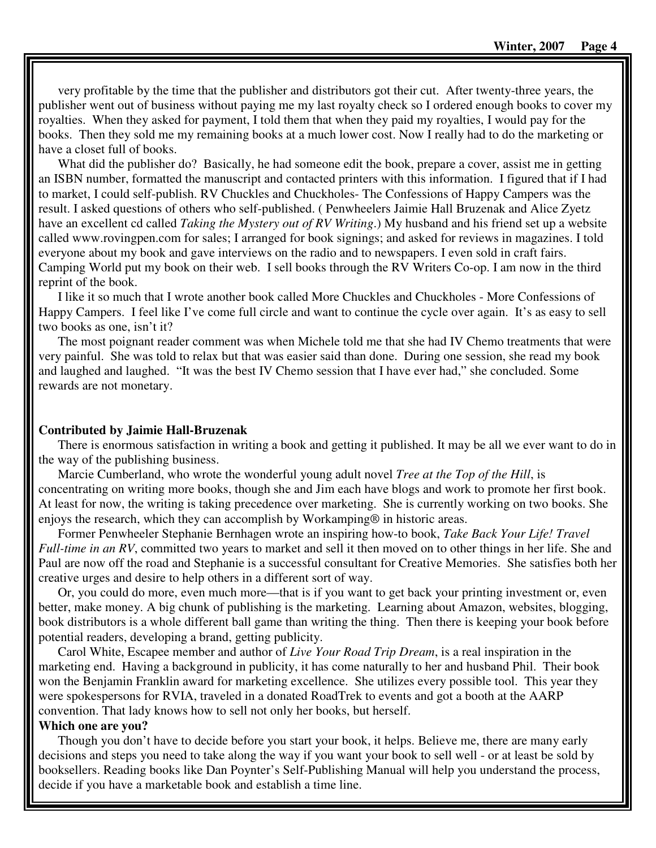very profitable by the time that the publisher and distributors got their cut. After twenty-three years, the publisher went out of business without paying me my last royalty check so I ordered enough books to cover my royalties. When they asked for payment, I told them that when they paid my royalties, I would pay for the books. Then they sold me my remaining books at a much lower cost. Now I really had to do the marketing or have a closet full of books.

What did the publisher do? Basically, he had someone edit the book, prepare a cover, assist me in getting an ISBN number, formatted the manuscript and contacted printers with this information. I figured that if I had to market, I could self-publish. RV Chuckles and Chuckholes- The Confessions of Happy Campers was the result. I asked questions of others who self-published. ( Penwheelers Jaimie Hall Bruzenak and Alice Zyetz have an excellent cd called *Taking the Mystery out of RV Writing*.) My husband and his friend set up a website called www.rovingpen.com for sales; I arranged for book signings; and asked for reviews in magazines. I told everyone about my book and gave interviews on the radio and to newspapers. I even sold in craft fairs. Camping World put my book on their web. I sell books through the RV Writers Co-op. I am now in the third reprint of the book.

I like it so much that I wrote another book called More Chuckles and Chuckholes - More Confessions of Happy Campers. I feel like I've come full circle and want to continue the cycle over again. It's as easy to sell two books as one, isn't it?

The most poignant reader comment was when Michele told me that she had IV Chemo treatments that were very painful. She was told to relax but that was easier said than done. During one session, she read my book and laughed and laughed. "It was the best IV Chemo session that I have ever had," she concluded. Some rewards are not monetary.

### **Contributed by Jaimie Hall-Bruzenak**

There is enormous satisfaction in writing a book and getting it published. It may be all we ever want to do in the way of the publishing business.

Marcie Cumberland, who wrote the wonderful young adult novel *Tree at the Top of the Hill*, is concentrating on writing more books, though she and Jim each have blogs and work to promote her first book. At least for now, the writing is taking precedence over marketing. She is currently working on two books. She enjoys the research, which they can accomplish by Workamping® in historic areas.

Former Penwheeler Stephanie Bernhagen wrote an inspiring how-to book, *Take Back Your Life! Travel Full-time in an RV*, committed two years to market and sell it then moved on to other things in her life. She and Paul are now off the road and Stephanie is a successful consultant for Creative Memories. She satisfies both her creative urges and desire to help others in a different sort of way.

Or, you could do more, even much more—that is if you want to get back your printing investment or, even better, make money. A big chunk of publishing is the marketing. Learning about Amazon, websites, blogging, book distributors is a whole different ball game than writing the thing. Then there is keeping your book before potential readers, developing a brand, getting publicity.

Carol White, Escapee member and author of *Live Your Road Trip Dream*, is a real inspiration in the marketing end. Having a background in publicity, it has come naturally to her and husband Phil. Their book won the Benjamin Franklin award for marketing excellence. She utilizes every possible tool. This year they were spokespersons for RVIA, traveled in a donated RoadTrek to events and got a booth at the AARP convention. That lady knows how to sell not only her books, but herself.

## **Which one are you?**

Though you don't have to decide before you start your book, it helps. Believe me, there are many early decisions and steps you need to take along the way if you want your book to sell well - or at least be sold by booksellers. Reading books like Dan Poynter's Self-Publishing Manual will help you understand the process, decide if you have a marketable book and establish a time line.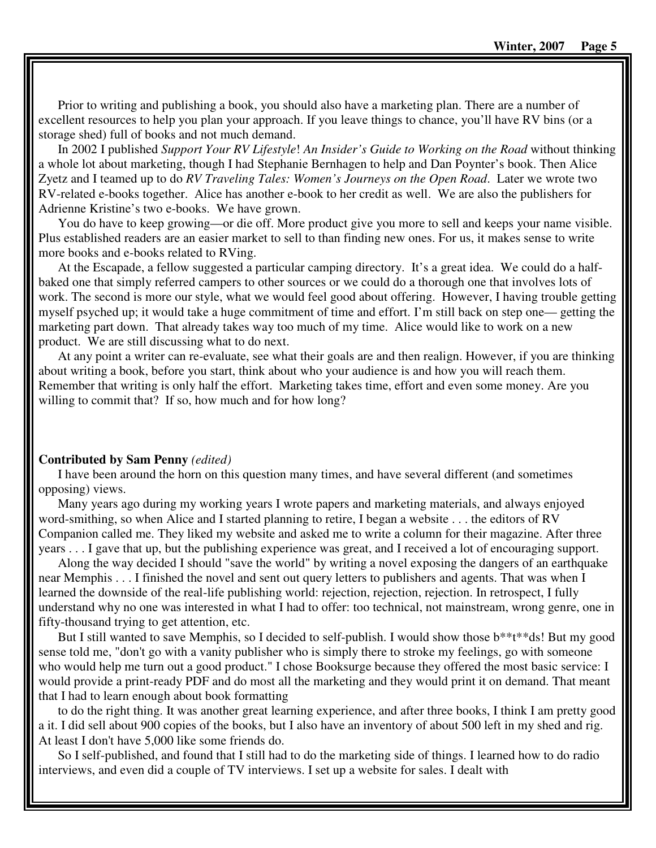Prior to writing and publishing a book, you should also have a marketing plan. There are a number of excellent resources to help you plan your approach. If you leave things to chance, you'll have RV bins (or a storage shed) full of books and not much demand.

In 2002 I published *Support Your RV Lifestyle*! *An Insider's Guide to Working on the Road* without thinking a whole lot about marketing, though I had Stephanie Bernhagen to help and Dan Poynter's book. Then Alice Zyetz and I teamed up to do *RV Traveling Tales: Women's Journeys on the Open Road*. Later we wrote two RV-related e-books together. Alice has another e-book to her credit as well. We are also the publishers for Adrienne Kristine's two e-books. We have grown.

You do have to keep growing—or die off. More product give you more to sell and keeps your name visible. Plus established readers are an easier market to sell to than finding new ones. For us, it makes sense to write more books and e-books related to RVing.

At the Escapade, a fellow suggested a particular camping directory. It's a great idea. We could do a halfbaked one that simply referred campers to other sources or we could do a thorough one that involves lots of work. The second is more our style, what we would feel good about offering. However, I having trouble getting myself psyched up; it would take a huge commitment of time and effort. I'm still back on step one— getting the marketing part down. That already takes way too much of my time. Alice would like to work on a new product. We are still discussing what to do next.

At any point a writer can re-evaluate, see what their goals are and then realign. However, if you are thinking about writing a book, before you start, think about who your audience is and how you will reach them. Remember that writing is only half the effort. Marketing takes time, effort and even some money. Are you willing to commit that? If so, how much and for how long?

## **Contributed by Sam Penny** *(edited)*

I have been around the horn on this question many times, and have several different (and sometimes opposing) views.

Many years ago during my working years I wrote papers and marketing materials, and always enjoyed word-smithing, so when Alice and I started planning to retire, I began a website . . . the editors of RV Companion called me. They liked my website and asked me to write a column for their magazine. After three years . . . I gave that up, but the publishing experience was great, and I received a lot of encouraging support.

Along the way decided I should "save the world" by writing a novel exposing the dangers of an earthquake near Memphis . . . I finished the novel and sent out query letters to publishers and agents. That was when I learned the downside of the real-life publishing world: rejection, rejection, rejection. In retrospect, I fully understand why no one was interested in what I had to offer: too technical, not mainstream, wrong genre, one in fifty-thousand trying to get attention, etc.

But I still wanted to save Memphis, so I decided to self-publish. I would show those b\*\*t\*\*ds! But my good sense told me, "don't go with a vanity publisher who is simply there to stroke my feelings, go with someone who would help me turn out a good product." I chose Booksurge because they offered the most basic service: I would provide a print-ready PDF and do most all the marketing and they would print it on demand. That meant that I had to learn enough about book formatting

to do the right thing. It was another great learning experience, and after three books, I think I am pretty good a it. I did sell about 900 copies of the books, but I also have an inventory of about 500 left in my shed and rig. At least I don't have 5,000 like some friends do.

So I self-published, and found that I still had to do the marketing side of things. I learned how to do radio interviews, and even did a couple of TV interviews. I set up a website for sales. I dealt with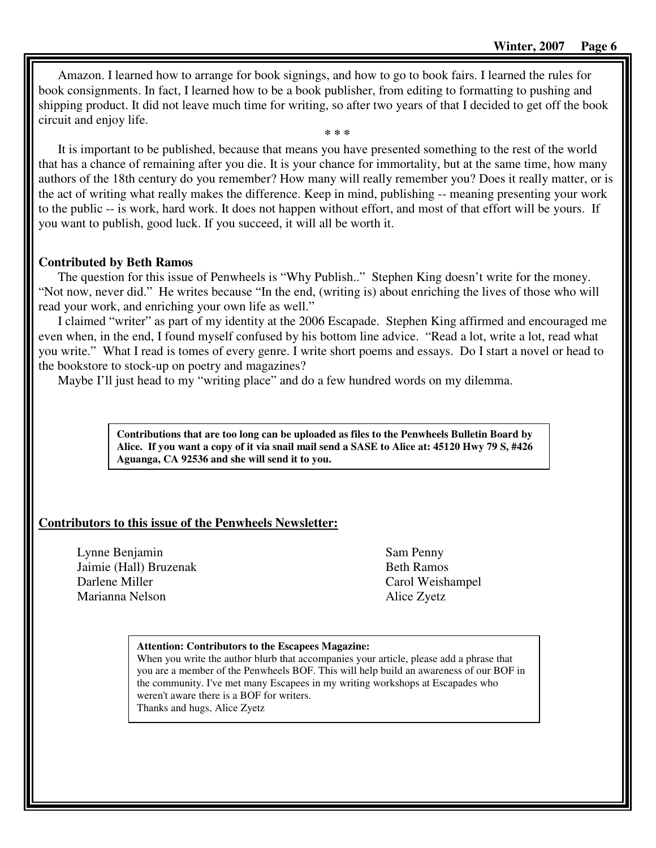Amazon. I learned how to arrange for book signings, and how to go to book fairs. I learned the rules for book consignments. In fact, I learned how to be a book publisher, from editing to formatting to pushing and shipping product. It did not leave much time for writing, so after two years of that I decided to get off the book circuit and enjoy life.

**\* \* \*** 

It is important to be published, because that means you have presented something to the rest of the world that has a chance of remaining after you die. It is your chance for immortality, but at the same time, how many authors of the 18th century do you remember? How many will really remember you? Does it really matter, or is the act of writing what really makes the difference. Keep in mind, publishing -- meaning presenting your work to the public -- is work, hard work. It does not happen without effort, and most of that effort will be yours. If you want to publish, good luck. If you succeed, it will all be worth it.

## **Contributed by Beth Ramos**

The question for this issue of Penwheels is "Why Publish.." Stephen King doesn't write for the money. "Not now, never did." He writes because "In the end, (writing is) about enriching the lives of those who will read your work, and enriching your own life as well."

I claimed "writer" as part of my identity at the 2006 Escapade. Stephen King affirmed and encouraged me even when, in the end, I found myself confused by his bottom line advice. "Read a lot, write a lot, read what you write." What I read is tomes of every genre. I write short poems and essays. Do I start a novel or head to the bookstore to stock-up on poetry and magazines?

Maybe I'll just head to my "writing place" and do a few hundred words on my dilemma.

**Contributions that are too long can be uploaded as files to the Penwheels Bulletin Board by Alice. If you want a copy of it via snail mail send a SASE to Alice at: 45120 Hwy 79 S, #426 Aguanga, CA 92536 and she will send it to you.** 

## **Contributors to this issue of the Penwheels Newsletter:**

Lynne Benjamin Jaimie (Hall) Bruzenak Darlene Miller Marianna Nelson

Sam Penny Beth Ramos Carol Weishampel Alice Zyetz

#### **Attention: Contributors to the Escapees Magazine:**

When you write the author blurb that accompanies your article, please add a phrase that you are a member of the Penwheels BOF. This will help build an awareness of our BOF in the community. I've met many Escapees in my writing workshops at Escapades who weren't aware there is a BOF for writers. Thanks and hugs, Alice Zyetz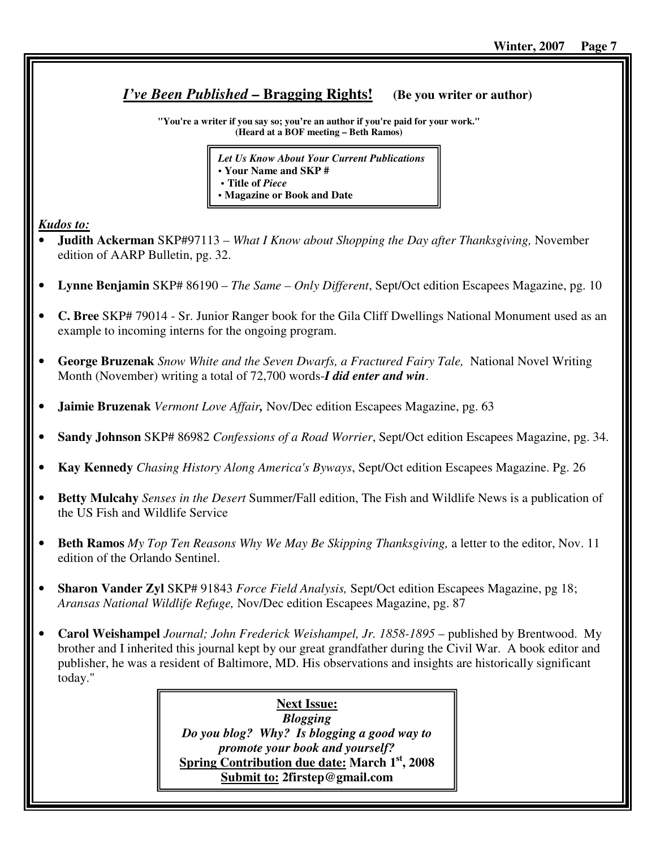# *I've Been Published* **– Bragging Rights! (Be you writer or author)**

**"You're a writer if you say so; you're an author if you're paid for your work." (Heard at a BOF meeting – Beth Ramos)**

| <b>Let Us Know About Your Current Publications</b> |
|----------------------------------------------------|
| • Your Name and SKP #                              |
| • Title of <i>Piece</i>                            |
| • Magazine or Book and Date                        |

*Kudos to:*

- **Judith Ackerman** SKP#97113 *What I Know about Shopping the Day after Thanksgiving,* November edition of AARP Bulletin, pg. 32.
- **Lynne Benjamin** SKP# 86190 *The Same Only Different*, Sept/Oct edition Escapees Magazine, pg. 10
- **C. Bree** SKP# 79014 Sr. Junior Ranger book for the Gila Cliff Dwellings National Monument used as an example to incoming interns for the ongoing program.
- **George Bruzenak** *Snow White and the Seven Dwarfs, a Fractured Fairy Tale,* National Novel Writing Month (November) writing a total of 72,700 words-*I did enter and win*.
- **Jaimie Bruzenak** *Vermont Love Affair,* Nov/Dec edition Escapees Magazine, pg. 63
- **Sandy Johnson** SKP# 86982 *Confessions of a Road Worrier*, Sept/Oct edition Escapees Magazine, pg. 34.
- **Kay Kennedy** *Chasing History Along America's Byways*, Sept/Oct edition Escapees Magazine. Pg. 26
- **Betty Mulcahy** *Senses in the Desert* Summer/Fall edition, The Fish and Wildlife News is a publication of the US Fish and Wildlife Service
- **Beth Ramos** *My Top Ten Reasons Why We May Be Skipping Thanksgiving,* a letter to the editor, Nov. 11 edition of the Orlando Sentinel.
- **Sharon Vander Zyl** SKP# 91843 *Force Field Analysis,* Sept/Oct edition Escapees Magazine, pg 18; *Aransas National Wildlife Refuge,* Nov/Dec edition Escapees Magazine, pg. 87
- **Carol Weishampel** *Journal; John Frederick Weishampel, Jr. 1858-1895* published by Brentwood. My brother and I inherited this journal kept by our great grandfather during the Civil War. A book editor and publisher, he was a resident of Baltimore, MD. His observations and insights are historically significant today."

**Next Issue:** *Blogging Do you blog? Why? Is blogging a good way to promote your book and yourself?* **Spring Contribution due date: March 1st, 2008 Submit to: 2firstep@gmail.com**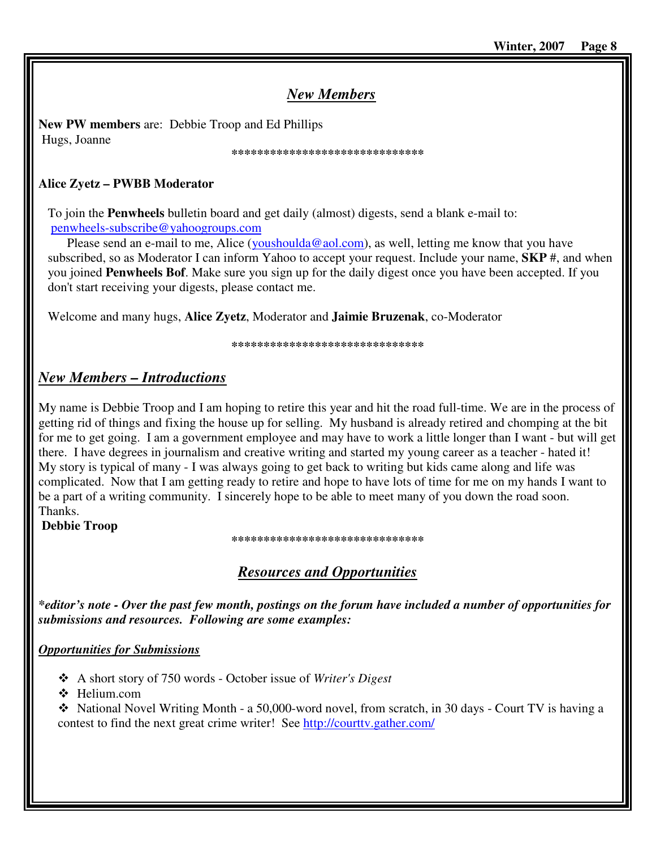# *New Members*

**New PW members** are: Debbie Troop and Ed Phillips Hugs, Joanne

#### **\*\*\*\*\*\*\*\*\*\*\*\*\*\*\*\*\*\*\*\*\*\*\*\*\*\*\*\*\*\***

# **Alice Zyetz – PWBB Moderator**

To join the **Penwheels** bulletin board and get daily (almost) digests, send a blank e-mail to: penwheels-subscribe@yahoogroups.com

Please send an e-mail to me, Alice (youshoulda@aol.com), as well, letting me know that you have subscribed, so as Moderator I can inform Yahoo to accept your request. Include your name, **SKP** #, and when you joined **Penwheels Bof**. Make sure you sign up for the daily digest once you have been accepted. If you don't start receiving your digests, please contact me.

Welcome and many hugs, **Alice Zyetz**, Moderator and **Jaimie Bruzenak**, co-Moderator

**\*\*\*\*\*\*\*\*\*\*\*\*\*\*\*\*\*\*\*\*\*\*\*\*\*\*\*\*\*\*** 

# *New Members – Introductions*

My name is Debbie Troop and I am hoping to retire this year and hit the road full-time. We are in the process of getting rid of things and fixing the house up for selling. My husband is already retired and chomping at the bit for me to get going. I am a government employee and may have to work a little longer than I want - but will get there. I have degrees in journalism and creative writing and started my young career as a teacher - hated it! My story is typical of many - I was always going to get back to writing but kids came along and life was complicated. Now that I am getting ready to retire and hope to have lots of time for me on my hands I want to be a part of a writing community. I sincerely hope to be able to meet many of you down the road soon. Thanks.

**Debbie Troop** 

## **\*\*\*\*\*\*\*\*\*\*\*\*\*\*\*\*\*\*\*\*\*\*\*\*\*\*\*\*\*\***

# *Resources and Opportunities*

*\*editor's note - Over the past few month, postings on the forum have included a number of opportunities for submissions and resources. Following are some examples:* 

# *Opportunities for Submissions*

- A short story of 750 words October issue of *Writer's Digest*
- ❖ Helium.com

 $\div$  National Novel Writing Month - a 50,000-word novel, from scratch, in 30 days - Court TV is having a contest to find the next great crime writer! See http://courttv.gather.com/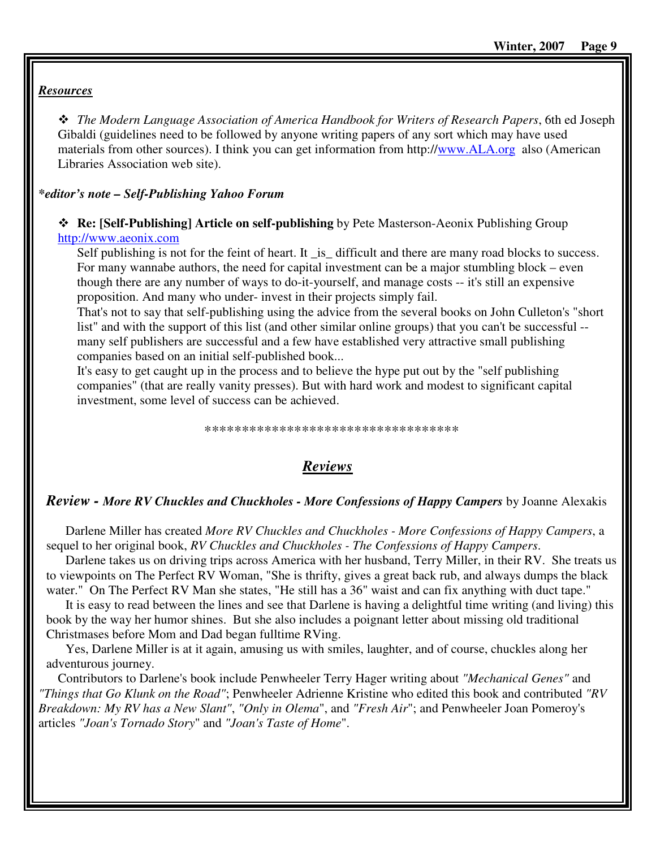## *Resources*

 *The Modern Language Association of America Handbook for Writers of Research Papers*, 6th ed Joseph Gibaldi (guidelines need to be followed by anyone writing papers of any sort which may have used materials from other sources). I think you can get information from http://www.ALA.org also (American Libraries Association web site).

## *\*editor's note – Self-Publishing Yahoo Forum*

## **Re: [Self-Publishing] Article on self-publishing** by Pete Masterson-Aeonix Publishing Group http://www.aeonix.com

Self publishing is not for the feint of heart. It \_is\_ difficult and there are many road blocks to success. For many wannabe authors, the need for capital investment can be a major stumbling block – even though there are any number of ways to do-it-yourself, and manage costs -- it's still an expensive proposition. And many who under- invest in their projects simply fail.

That's not to say that self-publishing using the advice from the several books on John Culleton's "short list" and with the support of this list (and other similar online groups) that you can't be successful - many self publishers are successful and a few have established very attractive small publishing companies based on an initial self-published book...

It's easy to get caught up in the process and to believe the hype put out by the "self publishing companies" (that are really vanity presses). But with hard work and modest to significant capital investment, some level of success can be achieved.

\*\*\*\*\*\*\*\*\*\*\*\*\*\*\*\*\*\*\*\*\*\*\*\*\*\*\*\*\*\*\*\*\*\*

# *Reviews*

## *Review - More RV Chuckles and Chuckholes - More Confessions of Happy Campers* by Joanne Alexakis

Darlene Miller has created *More RV Chuckles and Chuckholes - More Confessions of Happy Campers*, a sequel to her original book, *RV Chuckles and Chuckholes - The Confessions of Happy Campers*.

Darlene takes us on driving trips across America with her husband, Terry Miller, in their RV. She treats us to viewpoints on The Perfect RV Woman, "She is thrifty, gives a great back rub, and always dumps the black water." On The Perfect RV Man she states, "He still has a 36" waist and can fix anything with duct tape."

It is easy to read between the lines and see that Darlene is having a delightful time writing (and living) this book by the way her humor shines. But she also includes a poignant letter about missing old traditional Christmases before Mom and Dad began fulltime RVing.

Yes, Darlene Miller is at it again, amusing us with smiles, laughter, and of course, chuckles along her adventurous journey.

Contributors to Darlene's book include Penwheeler Terry Hager writing about *"Mechanical Genes"* and *"Things that Go Klunk on the Road"*; Penwheeler Adrienne Kristine who edited this book and contributed *"RV Breakdown: My RV has a New Slant"*, *"Only in Olema*", and *"Fresh Air*"; and Penwheeler Joan Pomeroy's articles *"Joan's Tornado Story*" and *"Joan's Taste of Home*".